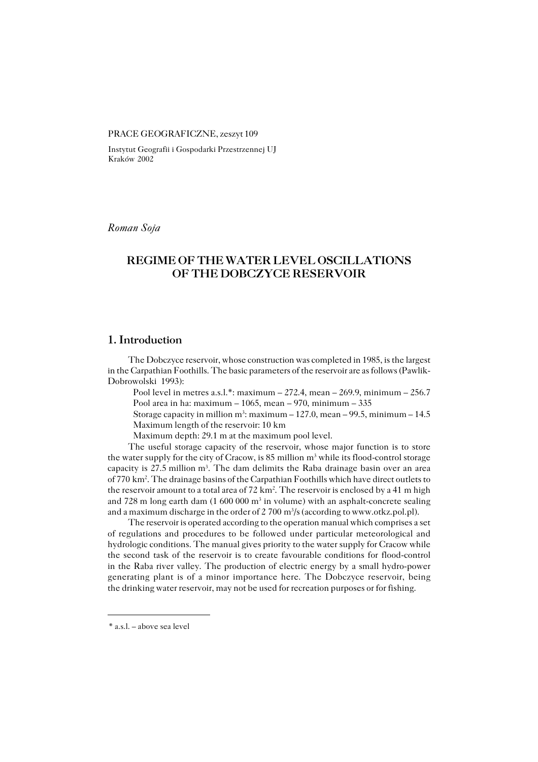#### PRACE GEOGRAFICZNE, zeszyt 109

Instytut Geografii i Gospodarki Przestrzennej UJ Kraków 2002

*Roman Soja*

## **REGIME OF THE WATER LEVEL OSCILLATIONS OF THE DOBCZYCE RESERVOIR**

#### **1. Introduction**

The Dobczyce reservoir, whose construction was completed in 1985, is the largest in the Carpathian Foothills. The basic parameters of the reservoir are as follows (Pawlik− Dobrowolski 1993):

Pool level in metres a.s.l.\*: maximum  $-272.4$ , mean  $-269.9$ , minimum  $-256.7$ Pool area in ha: maximum  $-1065$ , mean  $-970$ , minimum  $-335$ 

Storage capacity in million m<sup>3</sup>: maximum  $-127.0$ , mean  $-99.5$ , minimum  $-14.5$ Maximum length of the reservoir: 10 km

Maximum depth: 29.1 m at the maximum pool level.

The useful storage capacity of the reservoir, whose major function is to store the water supply for the city of Cracow, is 85 million m<sup>3</sup> while its flood-control storage capacity is 27.5 million  $m<sup>3</sup>$ . The dam delimits the Raba drainage basin over an area of 770 km<sup>2</sup>. The drainage basins of the Carpathian Foothills which have direct outlets to the reservoir amount to a total area of 72 km<sup>2</sup>. The reservoir is enclosed by a 41 m high and 728 m long earth dam (1 600 000 m<sup>3</sup> in volume) with an asphalt-concrete sealing and a maximum discharge in the order of 2 700 m<sup>3</sup>/s (according to www.otkz.pol.pl).

The reservoir is operated according to the operation manual which comprises a set of regulations and procedures to be followed under particular meteorological and hydrologic conditions. The manual gives priority to the water supply for Cracow while the second task of the reservoir is to create favourable conditions for flood−control in the Raba river valley. The production of electric energy by a small hydro−power generating plant is of a minor importance here. The Dobczyce reservoir, being the drinking water reservoir, may not be used for recreation purposes or for fishing.

<sup>\*</sup> a.s.l. – above sea level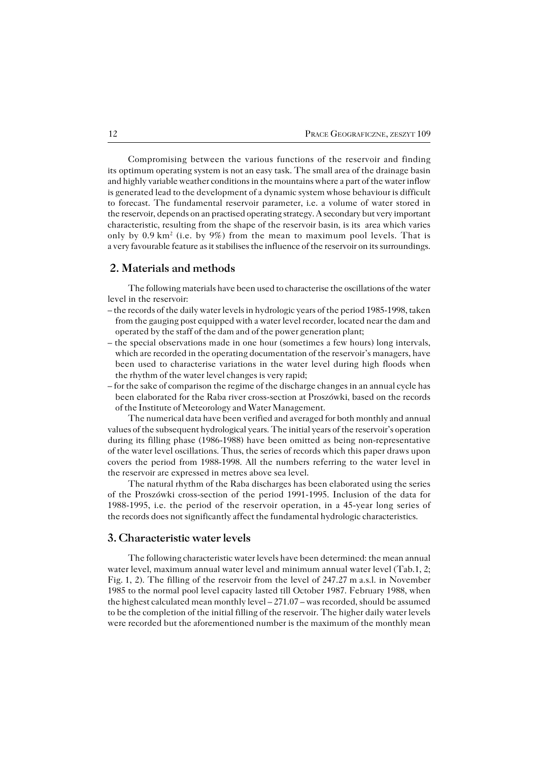Compromising between the various functions of the reservoir and finding its optimum operating system is not an easy task. The small area of the drainage basin and highly variable weather conditions in the mountains where a part of the water inflow is generated lead to the development of a dynamic system whose behaviour is difficult to forecast. The fundamental reservoir parameter, i.e. a volume of water stored in the reservoir, depends on an practised operating strategy. A secondary but very important characteristic, resulting from the shape of the reservoir basin, is its area which varies only by 0.9 km<sup>2</sup> (i.e. by 9%) from the mean to maximum pool levels. That is a very favourable feature as it stabilises the influence of the reservoir on its surroundings.

#### **2. Materials and methods**

The following materials have been used to characterise the oscillations of the water level in the reservoir:

- the records of the daily water levels in hydrologic years of the period 1985−1998, taken from the gauging post equipped with a water level recorder, located near the dam and operated by the staff of the dam and of the power generation plant;
- the special observations made in one hour (sometimes a few hours) long intervals, which are recorded in the operating documentation of the reservoir's managers, have been used to characterise variations in the water level during high floods when the rhythm of the water level changes is very rapid;
- for the sake of comparison the regime of the discharge changes in an annual cycle has been elaborated for the Raba river cross−section at Proszówki, based on the records of the Institute of Meteorology and Water Management.

The numerical data have been verified and averaged for both monthly and annual values of the subsequent hydrological years. The initial years of the reservoir's operation during its filling phase (1986−1988) have been omitted as being non−representative of the water level oscillations. Thus, the series of records which this paper draws upon covers the period from 1988−1998. All the numbers referring to the water level in the reservoir are expressed in metres above sea level.

The natural rhythm of the Raba discharges has been elaborated using the series of the Proszówki cross−section of the period 1991−1995. Inclusion of the data for 1988−1995, i.e. the period of the reservoir operation, in a 45−year long series of the records does not significantly affect the fundamental hydrologic characteristics.

### **3. Characteristic water levels**

The following characteristic water levels have been determined: the mean annual water level, maximum annual water level and minimum annual water level (Tab.1, 2; Fig. 1, 2). The filling of the reservoir from the level of 247.27 m a.s.l. in November 1985 to the normal pool level capacity lasted till October 1987. February 1988, when the highest calculated mean monthly level – 271.07 – was recorded, should be assumed to be the completion of the initial filling of the reservoir. The higher daily water levels were recorded but the aforementioned number is the maximum of the monthly mean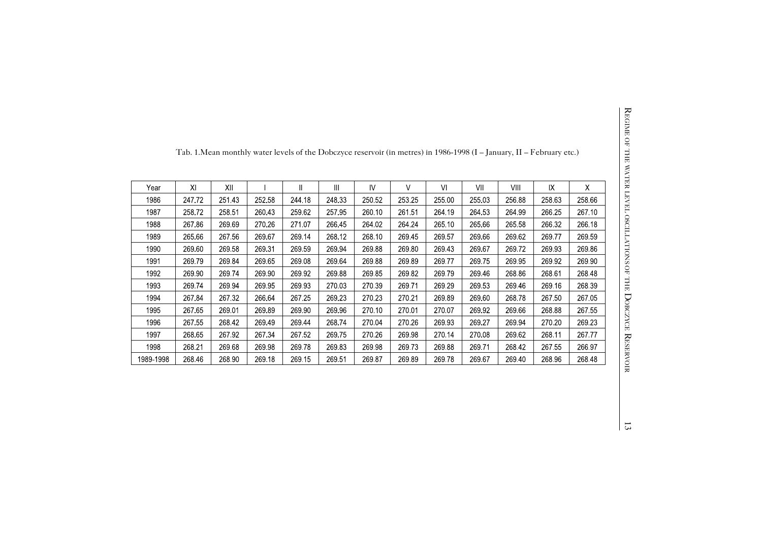| Year      | $X \mid$ | XII    |        | $\mathbf{I}$ | Ш      | <b>V</b> | V      | VI     | VII    | VIII   | IX     | X      |
|-----------|----------|--------|--------|--------------|--------|----------|--------|--------|--------|--------|--------|--------|
| 1986      | 247.72   | 251.43 | 252.58 | 244.18       | 248.33 | 250.52   | 253.25 | 255.00 | 255.03 | 256.88 | 258.63 | 258.66 |
| 1987      | 258.72   | 258.51 | 260 43 | 259.62       | 257.95 | 260 10   | 261 51 | 264 19 | 264 53 | 264 99 | 266.25 | 267 10 |
| 1988      | 267.86   | 269.69 | 270 26 | 271.07       | 266.45 | 264 02   | 264 24 | 265.10 | 265 66 | 265 58 | 266.32 | 266.18 |
| 1989      | 265.66   | 267.56 | 269.67 | 269.14       | 268.12 | 268.10   | 269.45 | 269.57 | 269.66 | 269.62 | 269 77 | 269.59 |
| 1990      | 269.60   | 269.58 | 269.31 | 269.59       | 269.94 | 269.88   | 269.80 | 269.43 | 269.67 | 269.72 | 269.93 | 269.86 |
| 1991      | 26979    | 269.84 | 269 65 | 269.08       | 269.64 | 269.88   | 269.89 | 26977  | 26975  | 269 95 | 269.92 | 269 90 |
| 1992      | 269.90   | 269.74 | 269.90 | 269.92       | 269.88 | 269.85   | 269.82 | 269.79 | 269 46 | 268.86 | 268.61 | 268.48 |
| 1993      | 269 74   | 269 94 | 269.95 | 269 93       | 270.03 | 270.39   | 26971  | 269.29 | 269 53 | 269 46 | 269 16 | 268.39 |
| 1994      | 267.84   | 267.32 | 266.64 | 267.25       | 269.23 | 270.23   | 270 21 | 269.89 | 269.60 | 268.78 | 267.50 | 267.05 |
| 1995      | 267.65   | 269.01 | 269.89 | 269.90       | 269.96 | 270.10   | 270.01 | 270.07 | 269.92 | 269.66 | 268.88 | 267.55 |
| 1996      | 267.55   | 268.42 | 269.49 | 269.44       | 268.74 | 270.04   | 270.26 | 269.93 | 269.27 | 269.94 | 270.20 | 269.23 |
| 1997      | 268.65   | 267 92 | 267 34 | 267.52       | 269.75 | 270.26   | 269.98 | 270 14 | 270.08 | 269.62 | 268.11 | 26777  |
| 1998      | 268.21   | 269.68 | 269.98 | 269.78       | 269.83 | 269.98   | 269.73 | 269.88 | 26971  | 268 42 | 267 55 | 266.97 |
| 1989-1998 | 268.46   | 268.90 | 269.18 | 269.15       | 269 51 | 269 87   | 269.89 | 269.78 | 269 67 | 269.40 | 268.96 | 268.48 |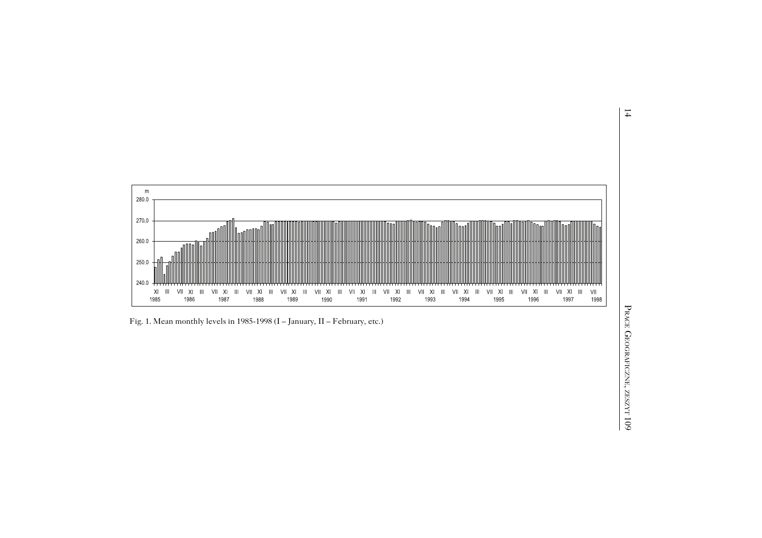

Fig. 1. Mean monthly levels in 1985-1998 (I – January, II – February, etc.)<br>  $\frac{55}{25}$ <br>  $\frac{25}{25}$ <br>  $\frac{25}{25}$ <br>  $\frac{25}{25}$ <br>  $\frac{25}{25}$ <br>  $\frac{25}{25}$ <br>  $\frac{25}{25}$ 

14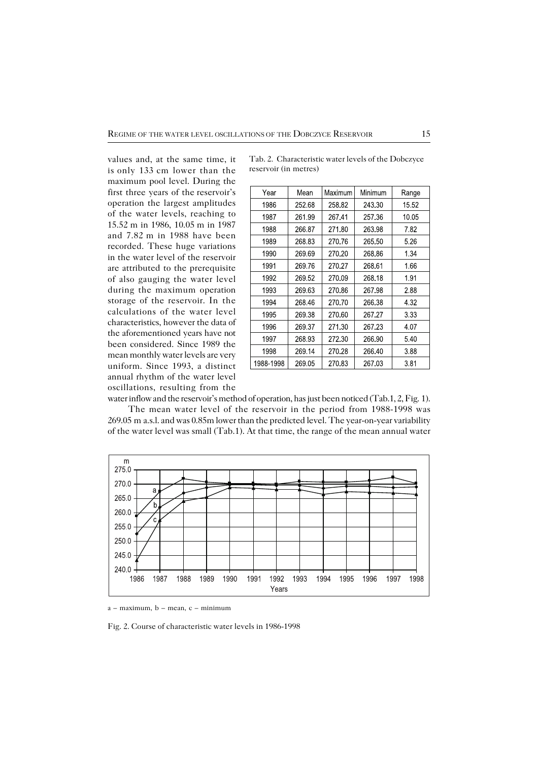values and, at the same time, it isonly 133cm lower than the maximum pool level. During the first three years of the reservoir's operation the largest amplitudes of the water levels, reaching to 15.52m in 1986, 10.05m in 1987 and 7.82m in 1988 have been recorded. These huge variations in the water level of the reservoir are attributed to the prerequisite of also gauging the water level during the maximum operation storage of the reservoir. In the calculations of the water level characteristics, however the data of the aforementioned years have not been considered. Since 1989 the mean monthly water levels are very uniform. Since 1993, a distinct annual rhythm of the water level oscillations, resulting from the

| Year      | Mean   | Maximum | Minimum | Range |
|-----------|--------|---------|---------|-------|
| 1986      | 252 68 | 25882   | 243 30  | 15.52 |
| 1987      | 261.99 | 26741   | 257 36  | 10.05 |
| 1988      | 266.87 | 27180   | 263.98  | 7.82  |
| 1989      | 268.83 | 270.76  | 265 50  | 5.26  |
| 1990      | 269.69 | 270.20  | 268 86  | 1.34  |
| 1991      | 269.76 | 270.27  | 268 61  | 1.66  |
| 1992      | 269.52 | 270.09  | 268.18  | 1.91  |
| 1993      | 269.63 | 270.86  | 267.98  | 2.88  |
| 1994      | 268.46 | 27070   | 266.38  | 4 32  |
| 1995      | 269 38 | 270.60  | 267.27  | 3.33  |
| 1996      | 269.37 | 271.30  | 267 23  | 4 07  |
| 1997      | 268.93 | 272 30  | 266.90  | 540   |
| 1998      | 269 14 | 270 28  | 266 40  | 3.88  |
| 1988-1998 | 269.05 | 27083   | 26703   | 381   |

Tab. 2. Characteristic water levels of the Dobczyce reservoir (in metres)

water inflow and the reservoir's method of operation, has just been noticed (Tab.1, 2, Fig.1). The mean water level of the reservoir in the period from 1988−1998 was 269.05ma.s.l. and was 0.85m lower than the predicted level. The year−on−year variability of the water level was small (Tab.1). At that time, the range of the mean annual water



 $a - maximum$ ,  $b - mean$ ,  $c - minimum$ 

Fig. 2. Course of characteristic water levels in 1986−1998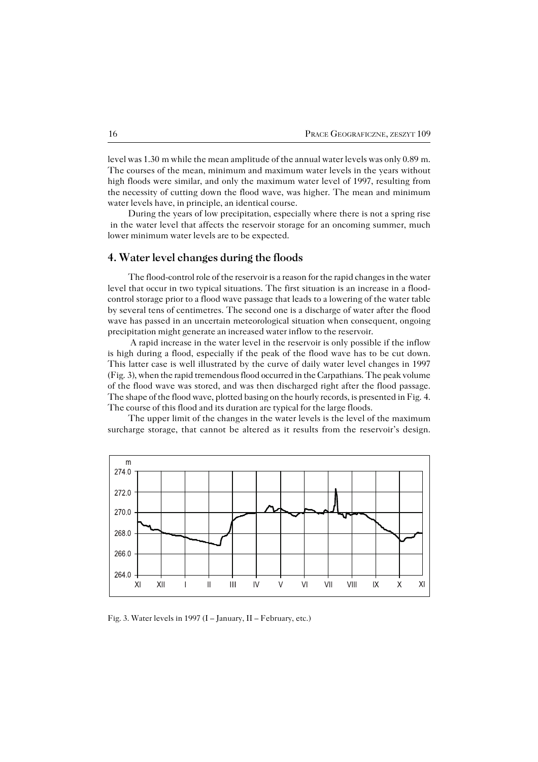level was 1.30m while the mean amplitude of the annual water levels was only 0.89m. The courses of the mean, minimum and maximum water levels in the years without high floods were similar, and only the maximum water level of 1997, resulting from the necessity of cutting down the flood wave, was higher. The mean and minimum water levels have, in principle, an identical course.

During the years of low precipitation, especially where there is not a spring rise in the water level that affects the reservoir storage for an oncoming summer, much lower minimum water levels are to be expected.

### **4. Water level changes during the floods**

The flood−control role of the reservoir is a reason for the rapid changes in the water level that occur in two typical situations. The first situation is an increase in a flood− control storage prior to a flood wave passage that leads to a lowering of the water table by several tens of centimetres. The second one is a discharge of water after the flood wave has passed in an uncertain meteorological situation when consequent, ongoing precipitation might generate an increased water inflow to the reservoir.

 A rapid increase in the water level in the reservoir is only possible if the inflow is high during a flood, especially if the peak of the flood wave has to be cut down. This latter case is well illustrated by the curve of daily water level changes in 1997 (Fig.3), when the rapid tremendous flood occurred in the Carpathians. The peak volume of the flood wave was stored, and was then discharged right after the flood passage. The shape of the flood wave, plotted basing on the hourly records, is presented in Fig.4. The course of this flood and its duration are typical for the large floods.

The upper limit of the changes in the water levels is the level of the maximum surcharge storage, that cannot be altered as it results from the reservoir's design.



Fig. 3. Water levels in 1997 (I – January, II – February, etc.)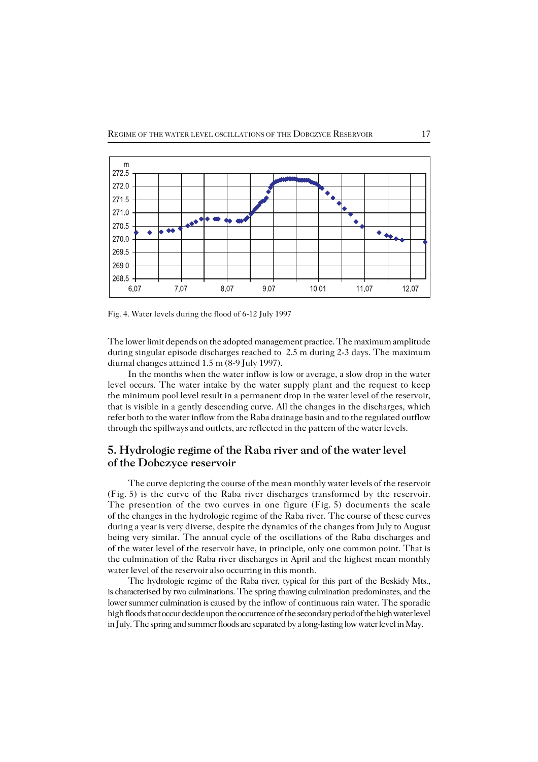

Fig. 4. Water levels during the flood of 6−12 July 1997

The lower limit depends on the adopted management practice. The maximum amplitude during singular episode discharges reached to 2.5m during 2−3 days. The maximum diurnal changes attained 1.5m (8−9 July 1997).

In the months when the water inflow is low or average, a slow drop in the water level occurs. The water intake by the water supply plant and the request to keep the minimum pool level result in a permanent drop in the water level of the reservoir, that is visible in a gently descending curve. All the changes in the discharges, which refer both to the water inflow from the Raba drainage basin and to the regulated outflow through the spillways and outlets, are reflected in the pattern of the water levels.

# **5. Hydrologic regime of the Raba river and of the water level of the Dobczyce reservoir**

The curve depicting the course of the mean monthly water levels of the reservoir (Fig.5) is the curve of the Raba river discharges transformed by the reservoir. The presention of the two curves in one figure (Fig.5) documents the scale of the changes in the hydrologic regime of the Raba river. The course of these curves during a year is very diverse, despite the dynamics of the changes from July to August being very similar. The annual cycle of the oscillations of the Raba discharges and of the water level of the reservoir have, in principle, only one common point. That is the culmination of the Raba river discharges in April and the highest mean monthly water level of the reservoir also occurring in this month.

The hydrologic regime of the Raba river, typical for this part of the Beskidy Mts., is characterised by two culminations. The spring thawing culmination predominates, and the lower summer culmination is caused by the inflow of continuous rain water. The sporadic high floods that occur decide upon the occurrence of the secondary period of the high water level in July. The spring and summer floods are separated by a long−lasting low water level in May.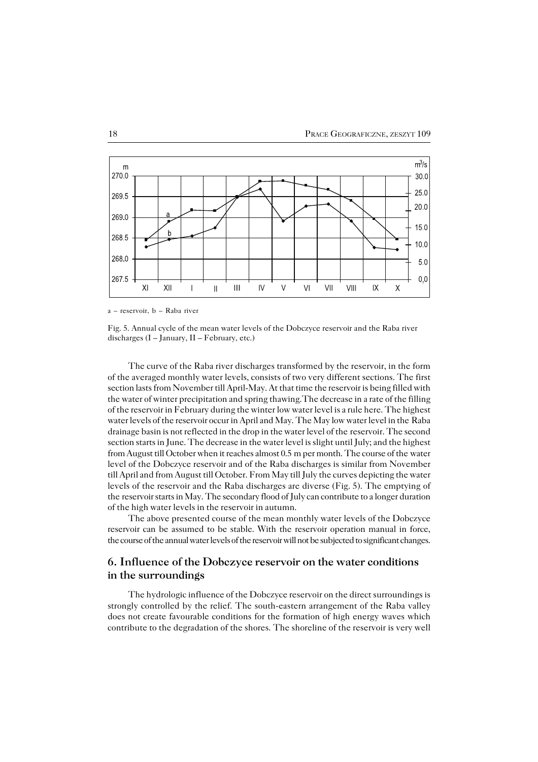

a – reservoir, b – Raba river

Fig. 5. Annual cycle of the mean water levels of the Dobczyce reservoir and the Raba river discharges  $(I - January, II - February, etc.)$ 

The curve of the Raba river discharges transformed by the reservoir, in the form of the averaged monthly water levels, consists of two very different sections. The first section lasts from November till April−May. At that time the reservoir is being filled with the water of winter precipitation and spring thawing.The decrease in a rate of the filling of the reservoir in February during the winter low water level is a rule here. The highest water levels of the reservoir occur in April and May. The May low water level in the Raba drainage basin is not reflected in the drop in the water level of thereservoir. The second section starts in June. The decrease in the water level is slight until July; and the highest from August till October when it reaches almost 0.5 m per month. The course of the water level of the Dobczyce reservoir and of the Raba discharges is similar from November till April and from August till October. From May till July the curves depicting the water levels of the reservoir and the Raba discharges are diverse (Fig.5). The emptying of the reservoir starts in May. The secondary flood of July can contribute to a longer duration of the high water levels in the reservoir in autumn.

The above presented course of the mean monthly water levels of the Dobczyce reservoir can be assumed to be stable. With the reservoir operation manual in force, the course of the annual water levels of the reservoir will not be subjected to significant changes.

## **6. Influence of the Dobczyce reservoir on the water conditions in the surroundings**

The hydrologic influence of the Dobczyce reservoir on the direct surroundings is strongly controlled by the relief. The south−eastern arrangement of the Raba valley does not create favourable conditions for the formation of high energy waves which contribute to the degradation of the shores. The shoreline of the reservoir is very well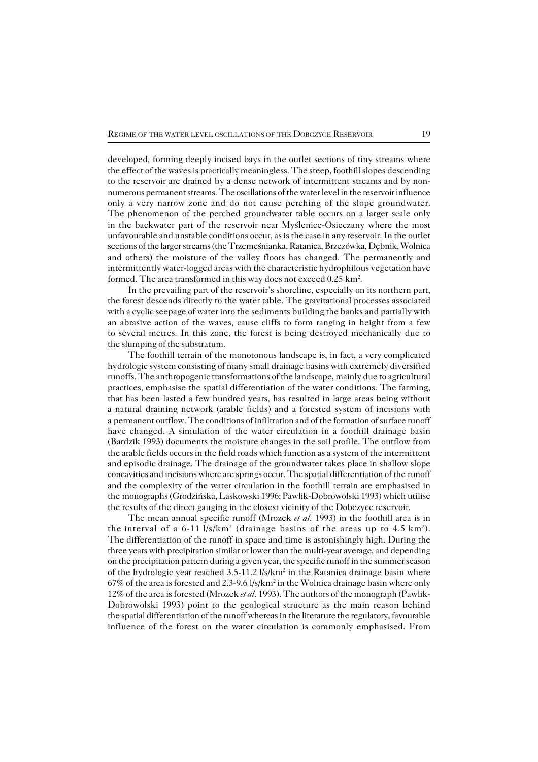developed, forming deeply incised bays in the outlet sections of tiny streams where the effect of the waves is practically meaningless. The steep, foothill slopes descending to the reservoir are drained by a dense network of intermittent streams and by non− numerous permanent streams. The oscillations of the water level in the reservoir influence only a very narrow zone and do not cause perching of the slope groundwater. The phenomenon of the perched groundwater table occurs on a larger scale only in the backwater part of the reservoir near Myślenice−Osieczany where the most unfavourable and unstable conditions occur, as is the case in any reservoir. In the outlet sections of the larger streams (the Trzemeśnianka, Ratanica, Brzezówka, Dębnik, Wolnica and others) the moisture of the valley floors has changed. The permanently and intermittently water−logged areas with the characteristic hydrophilous vegetation have formed. The area transformed in this way does not exceed  $0.25 \text{ km}^2$ .

In the prevailing part of the reservoir's shoreline, especially on its northern part, the forest descends directly to the water table. The gravitational processes associated with a cyclic seepage of water into the sediments building the banks and partially with an abrasive action of the waves, cause cliffs to form ranging in height from a few to several metres. In this zone, the forest is being destroyed mechanically due to the slumping of the substratum.

The foothill terrain of the monotonous landscape is, in fact, a very complicated hydrologic system consisting of many small drainage basins with extremely diversified runoffs. The anthropogenic transformations of the landscape, mainly due to agricultural practices, emphasise the spatial differentiation of the water conditions. The farming, that has been lasted a few hundred years, has resulted in large areas being without a natural draining network (arable fields) and a forested system of incisions with a permanent outflow. The conditions of infiltration and of the formation of surface runoff have changed. A simulation of the water circulation in a foothill drainage basin (Bardzik1993) documents the moisture changes in the soil profile. The outflow from the arable fields occurs in the field roads which function as a system of the intermittent and episodic drainage. The drainage of the groundwater takes place in shallow slope concavities and incisions where are springs occur. The spatial differentiation of the runoff and the complexity of the water circulation in the foothill terrain are emphasised in themonographs (Grodzińska, Laskowski 1996; Pawlik−Dobrowolski 1993) which utilise the results of the direct gauging in the closest vicinity of the Dobczyce reservoir.

The mean annual specific runoff (Mrozek *et al.* 1993) in the foothill area is in the interval of a 6-11 l/s/km<sup>2</sup> (drainage basins of the areas up to 4.5 km<sup>2</sup>). The differentiation of the runoff in space and time is astonishingly high. During the three years with precipitation similar or lower than the multi−year average, and depending on the precipitation pattern during a given year, the specific runoff in the summer season of the hydrologic year reached 3.5-11.2 l/s/km<sup>2</sup> in the Ratanica drainage basin where 67% of the area is forested and 2.3-9.6 l/s/km<sup>2</sup> in the Wolnica drainage basin where only 12% of the area is forested (Mrozek *et al.* 1993). The authors of the monograph (Pawlik− Dobrowolski 1993) point to the geological structure as the main reason behind the spatial differentiation of the runoff whereas in the literature the regulatory, favourable influence of the forest on the water circulation is commonly emphasised. From